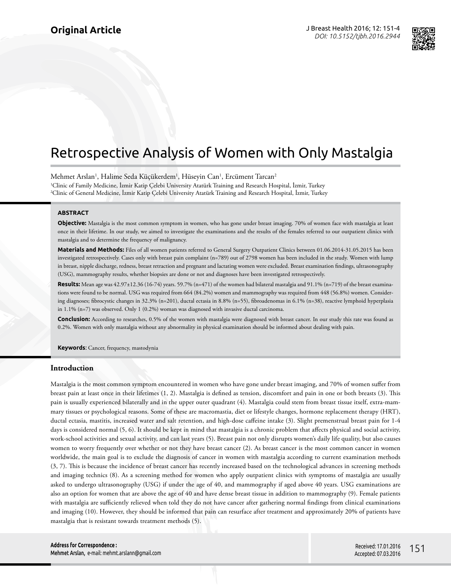

# Retrospective Analysis of Women with Only Mastalgia

Mehmet Arslan<sup>1</sup>, Halime Seda Küçükerdem<sup>1</sup>, Hüseyin Can<sup>1</sup>, Ercüment Tarcan<sup>2</sup> 1 Clinic of Family Medicine, İzmir Katip Çelebi University Atatürk Training and Research Hospital, İzmir, Turkey 2 Clinic of General Medicine, İzmir Katip Çelebi University Atatürk Training and Research Hospital, İzmir, Turkey

#### **ABSTRACT**

**Objective:** Mastalgia is the most common symptom in women, who has gone under breast imaging. 70% of women face with mastalgia at least once in their lifetime. In our study, we aimed to investigate the examinations and the results of the females referred to our outpatient clinics with mastalgia and to determine the frequency of malignancy.

**Materials and Methods:** Files of all women patients referred to General Surgery Outpatient Clinics between 01.06.2014-31.05.2015 has been investigated retrospectively. Cases only with breast pain complaint (n=789) out of 2798 women has been included in the study. Women with lump in breast, nipple discharge, redness, breast retraction and pregnant and lactating women were excluded. Breast examination findings, ultrasonography (USG), mammography results, whether biopsies are done or not and diagnoses have been investigated retrospectively.

**Results:** Mean age was 42.97±12.36 (16-74) years. 59.7% (n=471) of the women had bilateral mastalgia and 91.1% (n=719) of the breast examinations were found to be normal. USG was required from 664 (84.2%) women and mammography was required from 448 (56.8%) women. Considering diagnoses; fibrocystic changes in 32.3% (n=201), ductal ectasia in 8.8% (n=55), fibroadenomas in 6.1% (n=38), reactive lymphoid hyperplasia in 1.1% (n=7) was observed. Only 1 (0.2%) woman was diagnosed with invasive ductal carcinoma.

**Conclusion:** According to researches, 0.5% of the women with mastalgia were diagnosed with breast cancer. In our study this rate was found as 0.2%. Women with only mastalgia without any abnormality in physical examination should be informed about dealing with pain.

**Keywords**: Cancer, frequency, mastodynia

#### **Introduction**

Mastalgia is the most common symptom encountered in women who have gone under breast imaging, and 70% of women suffer from breast pain at least once in their lifetimes (1, 2). Mastalgia is defined as tension, discomfort and pain in one or both breasts (3). This pain is usually experienced bilaterally and in the upper outer quadrant (4). Mastalgia could stem from breast tissue itself, extra-mammary tissues or psychological reasons. Some of these are macromastia, diet or lifestyle changes, hormone replacement therapy (HRT), ductal ectasia, mastitis, increased water and salt retention, and high-dose caffeine intake (3). Slight premenstrual breast pain for 1-4 days is considered normal (5, 6). It should be kept in mind that mastalgia is a chronic problem that affects physical and social activity, work-school activities and sexual activity, and can last years (5). Breast pain not only disrupts women's daily life quality, but also causes women to worry frequently over whether or not they have breast cancer (2). As breast cancer is the most common cancer in women worldwide, the main goal is to exclude the diagnosis of cancer in women with mastalgia according to current examination methods (3, 7). This is because the incidence of breast cancer has recently increased based on the technological advances in screening methods and imaging technics (8). As a screening method for women who apply outpatient clinics with symptoms of mastalgia are usually asked to undergo ultrasonography (USG) if under the age of 40, and mammography if aged above 40 years. USG examinations are also an option for women that are above the age of 40 and have dense breast tissue in addition to mammography (9). Female patients with mastalgia are sufficiently relieved when told they do not have cancer after gathering normal findings from clinical examinations and imaging (10). However, they should be informed that pain can resurface after treatment and approximately 20% of patients have mastalgia that is resistant towards treatment methods (5).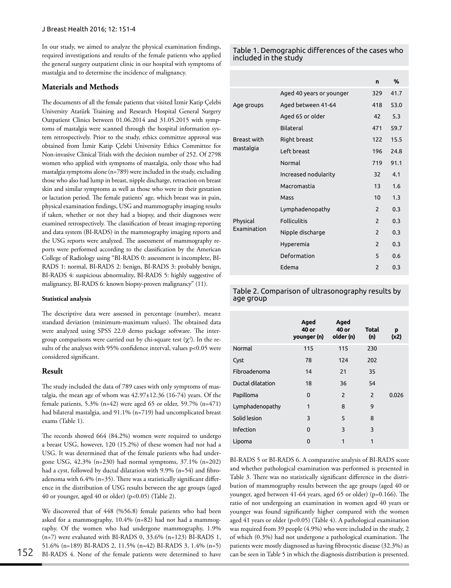In our study, we aimed to analyze the physical examination findings, required investigations and results of the female patients who applied the general surgery outpatient clinic in our hospital with symptoms of mastalgia and to determine the incidence of malignancy.

### **Materials and Methods**

The documents of all the female patients that visited İzmir Katip Çelebi University Atatürk Training and Research Hospital General Surgery Outpatient Clinics between 01.06.2014 and 31.05.2015 with symptoms of mastalgia were scanned through the hospital information system retrospectively. Prior to the study, ethics committee approval was obtained from İzmir Katip Çelebi University Ethics Committee for Non-invasive Clinical Trials with the decision number of 252. Of 2798 women who applied with symptoms of mastalgia, only those who had mastalgia symptoms alone (n=789) were included in the study, excluding those who also had lump in breast, nipple discharge, retraction on breast skin and similar symptoms as well as those who were in their gestation or lactation period. The female patients' age, which breast was in pain, physical examination findings, USG and mammography imaging results if taken, whether or not they had a biopsy, and their diagnoses were examined retrospectively. The classification of breast imaging-reporting and data system (BI-RADS) in the mammography imaging reports and the USG reports were analyzed. The assessment of mammography reports were performed according to the classification by the American College of Radiology using "BI-RADS 0: assessment is incomplete, BI-RADS 1: normal, BI-RADS 2: benign, BI-RADS 3: probably benign, BI-RADS 4: suspicious abnormality, BI-RADS 5: highly suggestive of malignancy, BI-RADS 6: known biopsy-proven malignancy" (11).

#### **Statistical analysis**

The descriptive data were assessed in percentage (number), mean± standard deviation (minimum-maximum values). The obtained data were analyzed using SPSS 22.0 demo package software. The intergroup comparisons were carried out by chi-square test (χ*<sup>2</sup>* ). In the results of the analyses with 95% confidence interval, values p<0.05 were considered significant.

#### **Result**

The study included the data of 789 cases with only symptoms of mastalgia, the mean age of whom was  $42.97\pm12.36$  (16-74) years. Of the female patients, 5.3% (n=42) were aged 65 or older, 59.7% (n=471) had bilateral mastalgia, and 91.1% (n=719) had uncomplicated breast exams (Table 1).

The records showed 664 (84.2%) women were required to undergo a breast USG, however, 120 (15.2%) of these women had not had a USG. It was determined that of the female patients who had undergone USG, 42.3% (n=230) had normal symptoms, 37.1% (n=202) had a cyst, followed by ductal dilatation with 9.9% (n=54) and fibroadenoma with 6.4% (n=35). There was a statistically significant difference in the distribution of USG results between the age groups (aged 40 or younger, aged 40 or older) (p<0.05) (Table 2).

We discovered that of 448 (%56.8) female patients who had been asked for a mammography, 10.4% (n=82) had not had a mammography. Of the women who had undergone mammography, 1.9% (n=7) were evaluated with BI-RADS 0, 33.6% (n=123) BI-RADS 1, 51.6% (n=189) BI-RADS 2, 11.5% (n=42) BI-RADS 3, 1.4% (n=5) BI-RADS 4. None of the female patients were determined to have

Table 1. Demographic differences of the cases who included in the study

|                                 |                          | n              | %    |
|---------------------------------|--------------------------|----------------|------|
|                                 | Aged 40 years or younger | 329            | 41.7 |
| Age groups                      | Aged between 41-64       | 418            | 53.0 |
|                                 | Aged 65 or older         | 42             | 5.3  |
|                                 | <b>Bilateral</b>         | 471            | 59.7 |
| <b>Breast with</b><br>mastalgia | Right breast             | 122            | 15.5 |
|                                 | Left breast              | 196            | 24.8 |
|                                 | Normal                   | 719            | 91.1 |
|                                 | Increased nodularity     | 32             | 4.1  |
|                                 | Macromastia              | 13             | 1.6  |
|                                 | Mass                     | 10             | 1.3  |
|                                 | Lymphadenopathy          | 2              | 0.3  |
| Physical<br><b>Examination</b>  | <b>Folliculitis</b>      | $\mathcal{P}$  | 0.3  |
|                                 | Nipple discharge         | $\overline{2}$ | 0.3  |
|                                 | Hyperemia                | $\overline{2}$ | 0.3  |
|                                 | Deformation              | 5              | 0.6  |
|                                 | <b>Edema</b>             | $\mathcal{P}$  | 0.3  |

Table 2. Comparison of ultrasonography results by age group

|                   | Aged<br>40 or<br>younger (n) | Aged<br>40 or<br>older (n) | <b>Total</b><br>(n) | p<br>(x2) |
|-------------------|------------------------------|----------------------------|---------------------|-----------|
| Normal            | 115                          | 115                        | 230                 |           |
| Cyst              | 78                           | 124                        | 202                 |           |
| Fibroadenoma      | 14                           | 21                         | 35                  |           |
| Ductal dilatation | 18                           | 36                         | 54                  |           |
| Papilloma         | $\mathbf{0}$                 | $\overline{2}$             | $\overline{2}$      | 0.026     |
| Lymphadenopathy   | 1                            | 8                          | 9                   |           |
| Solid lesion      | 3                            | 5                          | 8                   |           |
| Infection         | $\mathbf 0$                  | 3                          | 3                   |           |
| Lipoma            | $\Omega$                     | 1                          | 1                   |           |

BI-RADS 5 or BI-RADS 6. A comparative analysis of BI-RADS score and whether pathological examination was performed is presented in Table 3. There was no statistically significant difference in the distribution of mammography results between the age groups (aged 40 or younger, aged between 41-64 years, aged 65 or older) (p=0.166). The ratio of not undergoing an examination in women aged 40 years or younger was found significantly higher compared with the women aged 41 years or older (p<0.05) (Table 4). A pathological examination was required from 39 people (4.9%) who were included in the study, 2 of which (0.3%) had not undergone a pathological examination. The patients were mostly diagnosed as having fibrocystic disease (32.3%) as can be seen in Table 5 in which the diagnosis distribution is presented.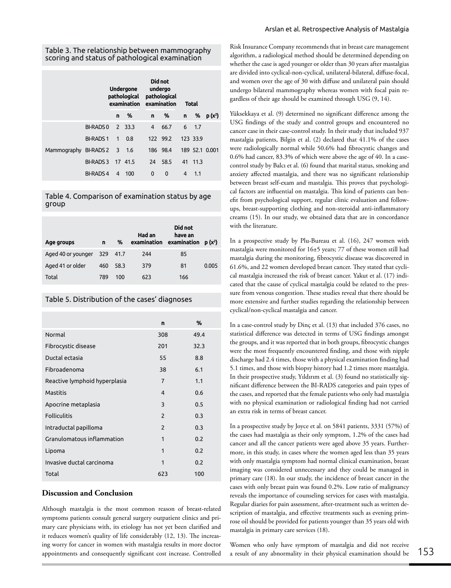|                             |                 | Undergone<br>pathological pathological |         | Did not<br>undergo<br>examination examination |          | <b>Total</b> |            |                |
|-----------------------------|-----------------|----------------------------------------|---------|-----------------------------------------------|----------|--------------|------------|----------------|
|                             |                 | n                                      | %       | n                                             | %        | n i          | %          | $p(x^2)$       |
| Mammography BI-RADS 2 3 1.6 | BI-RADS 0       |                                        | 2 33.3  | 4                                             | 66.7     |              | $6 \t 1.7$ |                |
|                             | <b>BI-RADS1</b> | $\mathbf{1}$                           | 0.8     |                                               | 122 99.2 |              | 123 33.9   |                |
|                             |                 |                                        |         |                                               | 186 98.4 |              |            | 189 52.1 0.001 |
|                             | <b>BI-RADS3</b> |                                        | 17 41.5 | 24                                            | 58.5     |              | 41 11.3    |                |
|                             | <b>BI-RADS4</b> | 4                                      | 100     | 0                                             | 0        | 4            | 1.1        |                |

Table 4. Comparison of examination status by age group

| Age groups         | n        | %    | Had an<br>examination | Did not<br>have an<br>examination | $p(x^2)$ |
|--------------------|----------|------|-----------------------|-----------------------------------|----------|
| Aged 40 or younger | 329 41.7 |      | 244                   | 85                                |          |
| Aged 41 or older   | 460      | 58.3 | 379                   | 81                                | 0.005    |
| Total              | 789      | 100  | 623                   | 166                               |          |

Table 5. Distribution of the cases' diagnoses

|                               | n              | %    |
|-------------------------------|----------------|------|
| Normal                        | 308            | 49.4 |
| Fibrocystic disease           | 201            | 32.3 |
| Ductal ectasia                | 55             | 8.8  |
| Fibroadenoma                  | 38             | 6.1  |
| Reactive lymphoid hyperplasia | $\overline{7}$ | 1.1  |
| <b>Mastitis</b>               | 4              | 0.6  |
| Apocrine metaplasia           | 3              | 0.5  |
| <b>Folliculitis</b>           | $\mathfrak{p}$ | 0.3  |
| Intraductal papilloma         | $\overline{2}$ | 0.3  |
| Granulomatous inflammation    | 1              | 0.2  |
| Lipoma                        | 1              | 0.2  |
| Invasive ductal carcinoma     | 1              | 0.2  |
| Total                         | 623            | 100  |

## **Discussion and Conclusion**

Although mastalgia is the most common reason of breast-related symptoms patients consult general surgery outpatient clinics and primary care physicians with, its etiology has not yet been clarified and it reduces women's quality of life considerably (12, 13). The increasing worry for cancer in women with mastalgia results in more doctor appointments and consequently significant cost increase. Controlled

Risk Insurance Company recommends that in breast care management algorithm, a radiological method should be determined depending on whether the case is aged younger or older than 30 years after mastalgias are divided into cyclical-non-cyclical, unilateral-bilateral, diffuse-focal, and women over the age of 30 with diffuse and unilateral pain should undergo bilateral mammography whereas women with focal pain regardless of their age should be examined through USG (9, 14).

Yüksekkaya et al. (9) determined no significant difference among the USG findings of the study and control groups and encountered no cancer case in their case-control study. In their study that included 937 mastalgia patients, Bilgin et al. (2) declared that 41.1% of the cases were radiologically normal while 50.6% had fibrocystic changes and 0.6% had cancer, 83.3% of which were above the age of 40. In a casecontrol study by Balcı et al. (6) found that marital status, smoking and anxiety affected mastalgia, and there was no significant relationship between breast self-exam and mastalgia. This proves that psychological factors are influential on mastalgia. This kind of patients can benefit from psychological support, regular clinic evaluation and followups, breast-supporting clothing and non-steroidal anti-inflammatory creams (15). In our study, we obtained data that are in concordance with the literature.

In a prospective study by Plu-Bureau et al. (16), 247 women with mastalgia were monitored for 16±5 years; 77 of these women still had mastalgia during the monitoring, fibrocystic disease was discovered in 61.6%, and 22 women developed breast cancer. They stated that cyclical mastalgia increased the risk of breast cancer. Yakut et al. (17) indicated that the cause of cyclical mastalgia could be related to the pressure from venous congestion. These studies reveal that there should be more extensive and further studies regarding the relationship between cyclical/non-cyclical mastalgia and cancer.

In a case-control study by Dinç et al. (13) that included 376 cases, no statistical difference was detected in terms of USG findings amongst the groups, and it was reported that in both groups, fibrocystic changes were the most frequently encountered finding, and those with nipple discharge had 2.4 times, those with a physical examination finding had 5.1 times, and those with biopsy history had 1.2 times more mastalgia. In their prospective study, Yıldırım et al. (3) found no statistically significant difference between the BI-RADS categories and pain types of the cases, and reported that the female patients who only had mastalgia with no physical examination or radiological finding had not carried an extra risk in terms of breast cancer.

In a prospective study by Joyce et al. on 5841 patients, 3331 (57%) of the cases had mastalgia as their only symptom, 1.2% of the cases had cancer and all the cancer patients were aged above 35 years. Furthermore, in this study, in cases where the women aged less than 35 years with only mastalgia symptom had normal clinical examination, breast imaging was considered unnecessary and they could be managed in primary care (18). In our study, the incidence of breast cancer in the cases with only breast pain was found 0.2%. Low ratio of malignancy reveals the importance of counseling services for cases with mastalgia. Regular diaries for pain assessment, after-treatment such as written description of mastalgia, and effective treatments such as evening primrose oil should be provided for patients younger than 35 years old with mastalgia in primary care services (18).

Women who only have symptom of mastalgia and did not receive a result of any abnormality in their physical examination should be